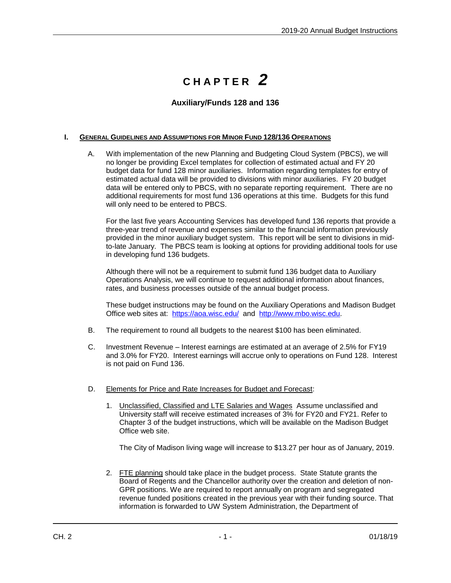## **C H A P T E R** *2*

## **Auxiliary/Funds 128 and 136**

## **I. GENERAL GUIDELINES AND ASSUMPTIONS FOR MINOR FUND 128/136 OPERATIONS**

A. With implementation of the new Planning and Budgeting Cloud System (PBCS), we will no longer be providing Excel templates for collection of estimated actual and FY 20 budget data for fund 128 minor auxiliaries. Information regarding templates for entry of estimated actual data will be provided to divisions with minor auxiliaries. FY 20 budget data will be entered only to PBCS, with no separate reporting requirement. There are no additional requirements for most fund 136 operations at this time. Budgets for this fund will only need to be entered to PBCS.

For the last five years Accounting Services has developed fund 136 reports that provide a three-year trend of revenue and expenses similar to the financial information previously provided in the minor auxiliary budget system. This report will be sent to divisions in midto-late January. The PBCS team is looking at options for providing additional tools for use in developing fund 136 budgets.

Although there will not be a requirement to submit fund 136 budget data to Auxiliary Operations Analysis, we will continue to request additional information about finances, rates, and business processes outside of the annual budget process.

These budget instructions may be found on the Auxiliary Operations and Madison Budget Office web sites at:<https://aoa.wisc.edu/>and [http://www.mbo.wisc.edu.](http://www.mbo.wisc.edu/)

- B. The requirement to round all budgets to the nearest \$100 has been eliminated.
- C. Investment Revenue Interest earnings are estimated at an average of 2.5% for FY19 and 3.0% for FY20. Interest earnings will accrue only to operations on Fund 128. Interest is not paid on Fund 136.
- D. Elements for Price and Rate Increases for Budget and Forecast:
	- 1. Unclassified, Classified and LTE Salaries and Wages Assume unclassified and University staff will receive estimated increases of 3% for FY20 and FY21. Refer to Chapter 3 of the budget instructions, which will be available on the Madison Budget Office web site.

The City of Madison living wage will increase to \$13.27 per hour as of January, 2019.

2. FTE planning should take place in the budget process. State Statute grants the Board of Regents and the Chancellor authority over the creation and deletion of non-GPR positions. We are required to report annually on program and segregated revenue funded positions created in the previous year with their funding source. That information is forwarded to UW System Administration, the Department of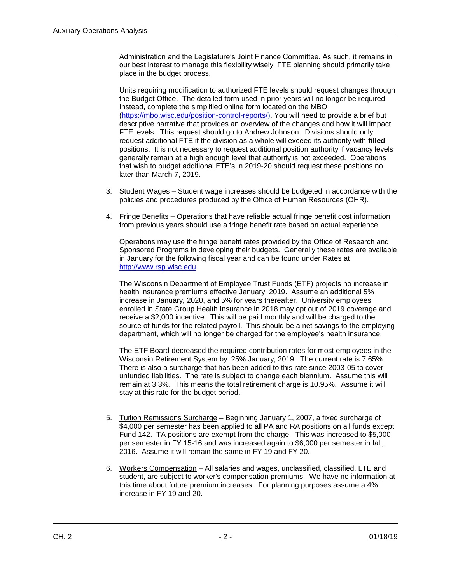Administration and the Legislature's Joint Finance Committee. As such, it remains in our best interest to manage this flexibility wisely. FTE planning should primarily take place in the budget process.

Units requiring modification to authorized FTE levels should request changes through the Budget Office. The detailed form used in prior years will no longer be required. Instead, complete the simplified online form located on the MBO [\(https://mbo.wisc.edu/position-control-reports/\)](https://mbo.wisc.edu/position-control-reports/). You will need to provide a brief but descriptive narrative that provides an overview of the changes and how it will impact FTE levels. This request should go to Andrew Johnson. Divisions should only request additional FTE if the division as a whole will exceed its authority with **filled**  positions. It is not necessary to request additional position authority if vacancy levels generally remain at a high enough level that authority is not exceeded. Operations that wish to budget additional FTE's in 2019-20 should request these positions no later than March 7, 2019.

- 3. Student Wages Student wage increases should be budgeted in accordance with the policies and procedures produced by the Office of Human Resources (OHR).
- 4. Fringe Benefits Operations that have reliable actual fringe benefit cost information from previous years should use a fringe benefit rate based on actual experience.

Operations may use the fringe benefit rates provided by the Office of Research and Sponsored Programs in developing their budgets. Generally these rates are available in January for the following fiscal year and can be found under Rates at [http://www.rsp.wisc.edu.](http://www.rsp.wisc.edu/)

The Wisconsin Department of Employee Trust Funds (ETF) projects no increase in health insurance premiums effective January, 2019. Assume an additional 5% increase in January, 2020, and 5% for years thereafter. University employees enrolled in State Group Health Insurance in 2018 may opt out of 2019 coverage and receive a \$2,000 incentive. This will be paid monthly and will be charged to the source of funds for the related payroll. This should be a net savings to the employing department, which will no longer be charged for the employee's health insurance,

The ETF Board decreased the required contribution rates for most employees in the Wisconsin Retirement System by .25% January, 2019. The current rate is 7.65%. There is also a surcharge that has been added to this rate since 2003-05 to cover unfunded liabilities. The rate is subject to change each biennium. Assume this will remain at 3.3%. This means the total retirement charge is 10.95%. Assume it will stay at this rate for the budget period.

- 5. Tuition Remissions Surcharge Beginning January 1, 2007, a fixed surcharge of \$4,000 per semester has been applied to all PA and RA positions on all funds except Fund 142. TA positions are exempt from the charge. This was increased to \$5,000 per semester in FY 15-16 and was increased again to \$6,000 per semester in fall, 2016. Assume it will remain the same in FY 19 and FY 20.
- 6. Workers Compensation All salaries and wages, unclassified, classified, LTE and student, are subject to worker's compensation premiums. We have no information at this time about future premium increases. For planning purposes assume a 4% increase in FY 19 and 20.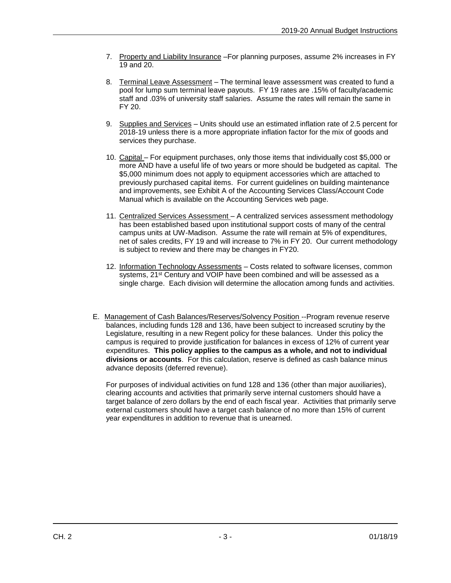- 7. Property and Liability Insurance For planning purposes, assume 2% increases in FY 19 and 20.
- 8. Terminal Leave Assessment The terminal leave assessment was created to fund a pool for lump sum terminal leave payouts. FY 19 rates are .15% of faculty/academic staff and .03% of university staff salaries. Assume the rates will remain the same in FY 20.
- 9. Supplies and Services Units should use an estimated inflation rate of 2.5 percent for 2018-19 unless there is a more appropriate inflation factor for the mix of goods and services they purchase.
- 10. Capital For equipment purchases, only those items that individually cost \$5,000 or more AND have a useful life of two years or more should be budgeted as capital. The \$5,000 minimum does not apply to equipment accessories which are attached to previously purchased capital items. For current guidelines on building maintenance and improvements, see Exhibit A of the Accounting Services Class/Account Code Manual which is available on the Accounting Services web page.
- 11. Centralized Services Assessment A centralized services assessment methodology has been established based upon institutional support costs of many of the central campus units at UW-Madison. Assume the rate will remain at 5% of expenditures, net of sales credits, FY 19 and will increase to 7% in FY 20. Our current methodology is subject to review and there may be changes in FY20.
- 12. Information Technology Assessments Costs related to software licenses, common systems, 21<sup>st</sup> Century and VOIP have been combined and will be assessed as a single charge. Each division will determine the allocation among funds and activities.
- E. Management of Cash Balances/Reserves/Solvency Position --Program revenue reserve balances, including funds 128 and 136, have been subject to increased scrutiny by the Legislature, resulting in a new Regent policy for these balances. Under this policy the campus is required to provide justification for balances in excess of 12% of current year expenditures. **This policy applies to the campus as a whole, and not to individual divisions or accounts**. For this calculation, reserve is defined as cash balance minus advance deposits (deferred revenue).

For purposes of individual activities on fund 128 and 136 (other than major auxiliaries), clearing accounts and activities that primarily serve internal customers should have a target balance of zero dollars by the end of each fiscal year. Activities that primarily serve external customers should have a target cash balance of no more than 15% of current year expenditures in addition to revenue that is unearned.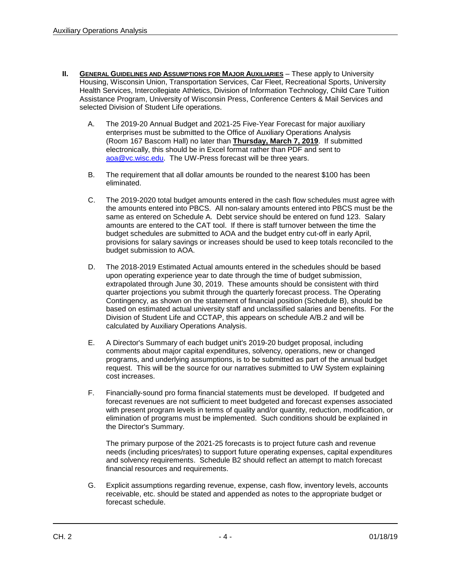- **II.** GENERAL GUIDELINES AND ASSUMPTIONS FOR MAJOR AUXILIARIES These apply to University Housing, Wisconsin Union, Transportation Services, Car Fleet, Recreational Sports, University Health Services, Intercollegiate Athletics, Division of Information Technology, Child Care Tuition Assistance Program, University of Wisconsin Press, Conference Centers & Mail Services and selected Division of Student Life operations.
	- A. The 2019-20 Annual Budget and 2021-25 Five-Year Forecast for major auxiliary enterprises must be submitted to the Office of Auxiliary Operations Analysis (Room 167 Bascom Hall) no later than **Thursday, March 7, 2019**. If submitted electronically, this should be in Excel format rather than PDF and sent to aoa@vc.wisc.edu. The UW-Press forecast will be three years.
	- B. The requirement that all dollar amounts be rounded to the nearest \$100 has been eliminated.
	- C. The 2019-2020 total budget amounts entered in the cash flow schedules must agree with the amounts entered into PBCS. All non-salary amounts entered into PBCS must be the same as entered on Schedule A. Debt service should be entered on fund 123. Salary amounts are entered to the CAT tool. If there is staff turnover between the time the budget schedules are submitted to AOA and the budget entry cut-off in early April, provisions for salary savings or increases should be used to keep totals reconciled to the budget submission to AOA.
	- D. The 2018-2019 Estimated Actual amounts entered in the schedules should be based upon operating experience year to date through the time of budget submission, extrapolated through June 30, 2019. These amounts should be consistent with third quarter projections you submit through the quarterly forecast process. The Operating Contingency, as shown on the statement of financial position (Schedule B), should be based on estimated actual university staff and unclassified salaries and benefits. For the Division of Student Life and CCTAP, this appears on schedule A/B.2 and will be calculated by Auxiliary Operations Analysis.
	- E. A Director's Summary of each budget unit's 2019-20 budget proposal, including comments about major capital expenditures, solvency, operations, new or changed programs, and underlying assumptions, is to be submitted as part of the annual budget request. This will be the source for our narratives submitted to UW System explaining cost increases.
	- F. Financially-sound pro forma financial statements must be developed. If budgeted and forecast revenues are not sufficient to meet budgeted and forecast expenses associated with present program levels in terms of quality and/or quantity, reduction, modification, or elimination of programs must be implemented. Such conditions should be explained in the Director's Summary.

The primary purpose of the 2021-25 forecasts is to project future cash and revenue needs (including prices/rates) to support future operating expenses, capital expenditures and solvency requirements. Schedule B2 should reflect an attempt to match forecast financial resources and requirements.

G. Explicit assumptions regarding revenue, expense, cash flow, inventory levels, accounts receivable, etc. should be stated and appended as notes to the appropriate budget or forecast schedule.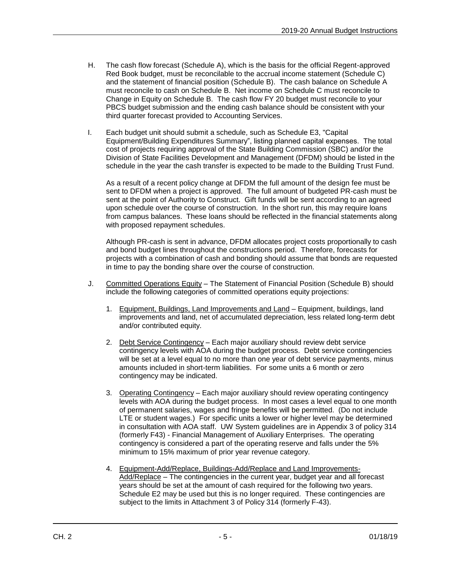- H. The cash flow forecast (Schedule A), which is the basis for the official Regent-approved Red Book budget, must be reconcilable to the accrual income statement (Schedule C) and the statement of financial position (Schedule B). The cash balance on Schedule A must reconcile to cash on Schedule B. Net income on Schedule C must reconcile to Change in Equity on Schedule B.The cash flow FY 20 budget must reconcile to your PBCS budget submission and the ending cash balance should be consistent with your third quarter forecast provided to Accounting Services.
- I. Each budget unit should submit a schedule, such as Schedule E3, "Capital Equipment/Building Expenditures Summary", listing planned capital expenses. The total cost of projects requiring approval of the State Building Commission (SBC) and/or the Division of State Facilities Development and Management (DFDM) should be listed in the schedule in the year the cash transfer is expected to be made to the Building Trust Fund.

As a result of a recent policy change at DFDM the full amount of the design fee must be sent to DFDM when a project is approved. The full amount of budgeted PR-cash must be sent at the point of Authority to Construct. Gift funds will be sent according to an agreed upon schedule over the course of construction. In the short run, this may require loans from campus balances. These loans should be reflected in the financial statements along with proposed repayment schedules.

Although PR-cash is sent in advance, DFDM allocates project costs proportionally to cash and bond budget lines throughout the constructions period. Therefore, forecasts for projects with a combination of cash and bonding should assume that bonds are requested in time to pay the bonding share over the course of construction.

- J. Committed Operations Equity The Statement of Financial Position (Schedule B) should include the following categories of committed operations equity projections:
	- 1. Equipment, Buildings, Land Improvements and Land Equipment, buildings, land improvements and land, net of accumulated depreciation, less related long-term debt and/or contributed equity.
	- 2. Debt Service Contingency Each major auxiliary should review debt service contingency levels with AOA during the budget process. Debt service contingencies will be set at a level equal to no more than one year of debt service payments, minus amounts included in short-term liabilities. For some units a 6 month or zero contingency may be indicated.
	- 3. Operating Contingency Each major auxiliary should review operating contingency levels with AOA during the budget process. In most cases a level equal to one month of permanent salaries, wages and fringe benefits will be permitted. (Do not include LTE or student wages.) For specific units a lower or higher level may be determined in consultation with AOA staff. UW System guidelines are in Appendix 3 of policy 314 (formerly F43) - Financial Management of Auxiliary Enterprises. The operating contingency is considered a part of the operating reserve and falls under the 5% minimum to 15% maximum of prior year revenue category.
	- 4. Equipment-Add/Replace, Buildings-Add/Replace and Land Improvements-Add/Replace - The contingencies in the current year, budget year and all forecast years should be set at the amount of cash required for the following two years. Schedule E2 may be used but this is no longer required. These contingencies are subject to the limits in Attachment 3 of Policy 314 (formerly F-43).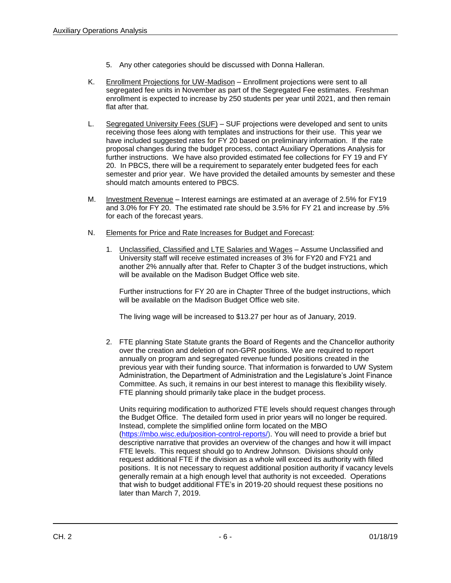- 5. Any other categories should be discussed with Donna Halleran.
- K. Enrollment Projections for UW-Madison Enrollment projections were sent to all segregated fee units in November as part of the Segregated Fee estimates. Freshman enrollment is expected to increase by 250 students per year until 2021, and then remain flat after that.
- L. Segregated University Fees (SUF) SUF projections were developed and sent to units receiving those fees along with templates and instructions for their use. This year we have included suggested rates for FY 20 based on preliminary information. If the rate proposal changes during the budget process, contact Auxiliary Operations Analysis for further instructions. We have also provided estimated fee collections for FY 19 and FY 20. In PBCS, there will be a requirement to separately enter budgeted fees for each semester and prior year. We have provided the detailed amounts by semester and these should match amounts entered to PBCS.
- M. Investment Revenue Interest earnings are estimated at an average of 2.5% for FY19 and 3.0% for FY 20. The estimated rate should be 3.5% for FY 21 and increase by .5% for each of the forecast years.
- N. Elements for Price and Rate Increases for Budget and Forecast:
	- 1. Unclassified, Classified and LTE Salaries and Wages Assume Unclassified and University staff will receive estimated increases of 3% for FY20 and FY21 and another 2% annually after that. Refer to Chapter 3 of the budget instructions, which will be available on the Madison Budget Office web site.

Further instructions for FY 20 are in Chapter Three of the budget instructions, which will be available on the Madison Budget Office web site.

The living wage will be increased to \$13.27 per hour as of January, 2019.

2. FTE planning State Statute grants the Board of Regents and the Chancellor authority over the creation and deletion of non-GPR positions. We are required to report annually on program and segregated revenue funded positions created in the previous year with their funding source. That information is forwarded to UW System Administration, the Department of Administration and the Legislature's Joint Finance Committee. As such, it remains in our best interest to manage this flexibility wisely. FTE planning should primarily take place in the budget process.

Units requiring modification to authorized FTE levels should request changes through the Budget Office. The detailed form used in prior years will no longer be required. Instead, complete the simplified online form located on the MBO [\(https://mbo.wisc.edu/position-control-reports/\)](https://mbo.wisc.edu/position-control-reports/). You will need to provide a brief but descriptive narrative that provides an overview of the changes and how it will impact FTE levels. This request should go to Andrew Johnson. Divisions should only request additional FTE if the division as a whole will exceed its authority with filled positions. It is not necessary to request additional position authority if vacancy levels generally remain at a high enough level that authority is not exceeded. Operations that wish to budget additional FTE's in 2019-20 should request these positions no later than March 7, 2019.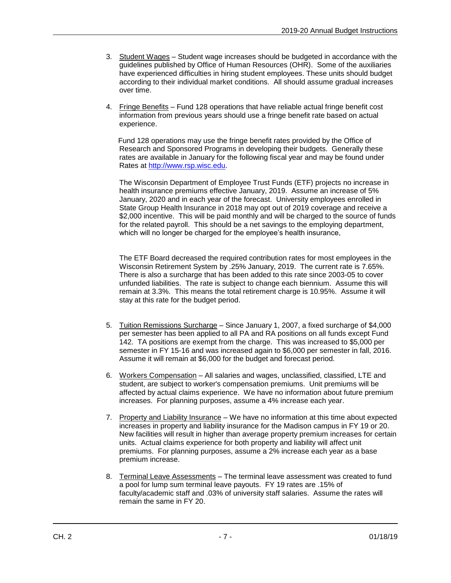- 3. Student Wages Student wage increases should be budgeted in accordance with the guidelines published by Office of Human Resources (OHR). Some of the auxiliaries have experienced difficulties in hiring student employees. These units should budget according to their individual market conditions. All should assume gradual increases over time.
- 4. Fringe Benefits Fund 128 operations that have reliable actual fringe benefit cost information from previous years should use a fringe benefit rate based on actual experience.

 Fund 128 operations may use the fringe benefit rates provided by the Office of Research and Sponsored Programs in developing their budgets. Generally these rates are available in January for the following fiscal year and may be found under Rates at [http://www.rsp.wisc.edu.](http://www.rsp.wisc.edu/)

The Wisconsin Department of Employee Trust Funds (ETF) projects no increase in health insurance premiums effective January, 2019. Assume an increase of 5% January, 2020 and in each year of the forecast. University employees enrolled in State Group Health Insurance in 2018 may opt out of 2019 coverage and receive a \$2,000 incentive. This will be paid monthly and will be charged to the source of funds for the related payroll. This should be a net savings to the employing department, which will no longer be charged for the employee's health insurance,

The ETF Board decreased the required contribution rates for most employees in the Wisconsin Retirement System by .25% January, 2019. The current rate is 7.65%. There is also a surcharge that has been added to this rate since 2003-05 to cover unfunded liabilities. The rate is subject to change each biennium. Assume this will remain at 3.3%. This means the total retirement charge is 10.95%. Assume it will stay at this rate for the budget period.

- 5. Tuition Remissions Surcharge Since January 1, 2007, a fixed surcharge of \$4,000 per semester has been applied to all PA and RA positions on all funds except Fund 142. TA positions are exempt from the charge. This was increased to \$5,000 per semester in FY 15-16 and was increased again to \$6,000 per semester in fall, 2016. Assume it will remain at \$6,000 for the budget and forecast period.
- 6. Workers Compensation All salaries and wages, unclassified, classified, LTE and student, are subject to worker's compensation premiums. Unit premiums will be affected by actual claims experience. We have no information about future premium increases. For planning purposes, assume a 4% increase each year.
- 7. Property and Liability Insurance We have no information at this time about expected increases in property and liability insurance for the Madison campus in FY 19 or 20. New facilities will result in higher than average property premium increases for certain units. Actual claims experience for both property and liability will affect unit premiums. For planning purposes, assume a 2% increase each year as a base premium increase.
- 8. Terminal Leave Assessments The terminal leave assessment was created to fund a pool for lump sum terminal leave payouts. FY 19 rates are .15% of faculty/academic staff and .03% of university staff salaries. Assume the rates will remain the same in FY 20.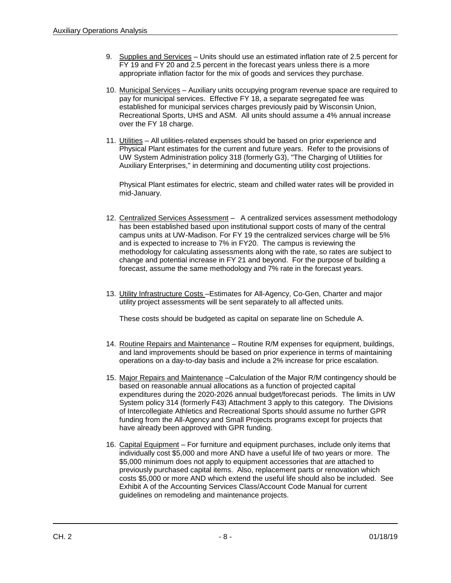- 9. Supplies and Services Units should use an estimated inflation rate of 2.5 percent for FY 19 and FY 20 and 2.5 percent in the forecast years unless there is a more appropriate inflation factor for the mix of goods and services they purchase.
- 10. Municipal Services Auxiliary units occupying program revenue space are required to pay for municipal services. Effective FY 18, a separate segregated fee was established for municipal services charges previously paid by Wisconsin Union, Recreational Sports, UHS and ASM. All units should assume a 4% annual increase over the FY 18 charge.
- 11. Utilities All utilities-related expenses should be based on prior experience and Physical Plant estimates for the current and future years. Refer to the provisions of UW System Administration policy 318 (formerly G3), "The Charging of Utilities for Auxiliary Enterprises," in determining and documenting utility cost projections.

Physical Plant estimates for electric, steam and chilled water rates will be provided in mid-January.

- 12. Centralized Services Assessment A centralized services assessment methodology has been established based upon institutional support costs of many of the central campus units at UW-Madison. For FY 19 the centralized services charge will be 5% and is expected to increase to 7% in FY20. The campus is reviewing the methodology for calculating assessments along with the rate, so rates are subject to change and potential increase in FY 21 and beyond. For the purpose of building a forecast, assume the same methodology and 7% rate in the forecast years.
- 13. Utility Infrastructure Costs Estimates for All-Agency, Co-Gen, Charter and major utility project assessments will be sent separately to all affected units.

These costs should be budgeted as capital on separate line on Schedule A.

- 14. Routine Repairs and Maintenance Routine R/M expenses for equipment, buildings, and land improvements should be based on prior experience in terms of maintaining operations on a day-to-day basis and include a 2% increase for price escalation.
- 15. Major Repairs and Maintenance –Calculation of the Major R/M contingency should be based on reasonable annual allocations as a function of projected capital expenditures during the 2020-2026 annual budget/forecast periods. The limits in UW System policy 314 (formerly F43) Attachment 3 apply to this category. The Divisions of Intercollegiate Athletics and Recreational Sports should assume no further GPR funding from the All-Agency and Small Projects programs except for projects that have already been approved with GPR funding.
- 16. Capital Equipment For furniture and equipment purchases, include only items that individually cost \$5,000 and more AND have a useful life of two years or more. The \$5,000 minimum does not apply to equipment accessories that are attached to previously purchased capital items. Also, replacement parts or renovation which costs \$5,000 or more AND which extend the useful life should also be included. See Exhibit A of the Accounting Services Class/Account Code Manual for current guidelines on remodeling and maintenance projects.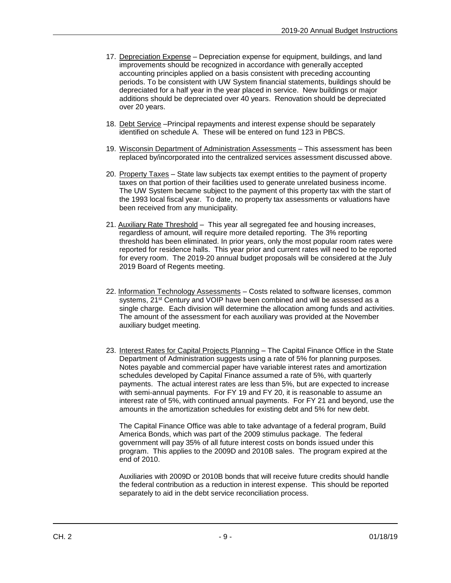- 17. Depreciation Expense Depreciation expense for equipment, buildings, and land improvements should be recognized in accordance with generally accepted accounting principles applied on a basis consistent with preceding accounting periods. To be consistent with UW System financial statements, buildings should be depreciated for a half year in the year placed in service. New buildings or major additions should be depreciated over 40 years. Renovation should be depreciated over 20 years.
- 18. Debt Service –Principal repayments and interest expense should be separately identified on schedule A. These will be entered on fund 123 in PBCS.
- 19. Wisconsin Department of Administration Assessments This assessment has been replaced by/incorporated into the centralized services assessment discussed above.
- 20. Property Taxes State law subjects tax exempt entities to the payment of property taxes on that portion of their facilities used to generate unrelated business income. The UW System became subject to the payment of this property tax with the start of the 1993 local fiscal year. To date, no property tax assessments or valuations have been received from any municipality.
- 21. Auxiliary Rate Threshold This year all segregated fee and housing increases, regardless of amount, will require more detailed reporting. The 3% reporting threshold has been eliminated. In prior years, only the most popular room rates were reported for residence halls. This year prior and current rates will need to be reported for every room. The 2019-20 annual budget proposals will be considered at the July 2019 Board of Regents meeting.
- 22. Information Technology Assessments Costs related to software licenses, common systems, 21<sup>st</sup> Century and VOIP have been combined and will be assessed as a single charge. Each division will determine the allocation among funds and activities. The amount of the assessment for each auxiliary was provided at the November auxiliary budget meeting.
- 23. Interest Rates for Capital Projects Planning The Capital Finance Office in the State Department of Administration suggests using a rate of 5% for planning purposes. Notes payable and commercial paper have variable interest rates and amortization schedules developed by Capital Finance assumed a rate of 5%, with quarterly payments. The actual interest rates are less than 5%, but are expected to increase with semi-annual payments. For FY 19 and FY 20, it is reasonable to assume an interest rate of 5%, with continued annual payments. For FY 21 and beyond, use the amounts in the amortization schedules for existing debt and 5% for new debt.

The Capital Finance Office was able to take advantage of a federal program, Build America Bonds, which was part of the 2009 stimulus package. The federal government will pay 35% of all future interest costs on bonds issued under this program. This applies to the 2009D and 2010B sales. The program expired at the end of 2010.

Auxiliaries with 2009D or 2010B bonds that will receive future credits should handle the federal contribution as a reduction in interest expense. This should be reported separately to aid in the debt service reconciliation process.